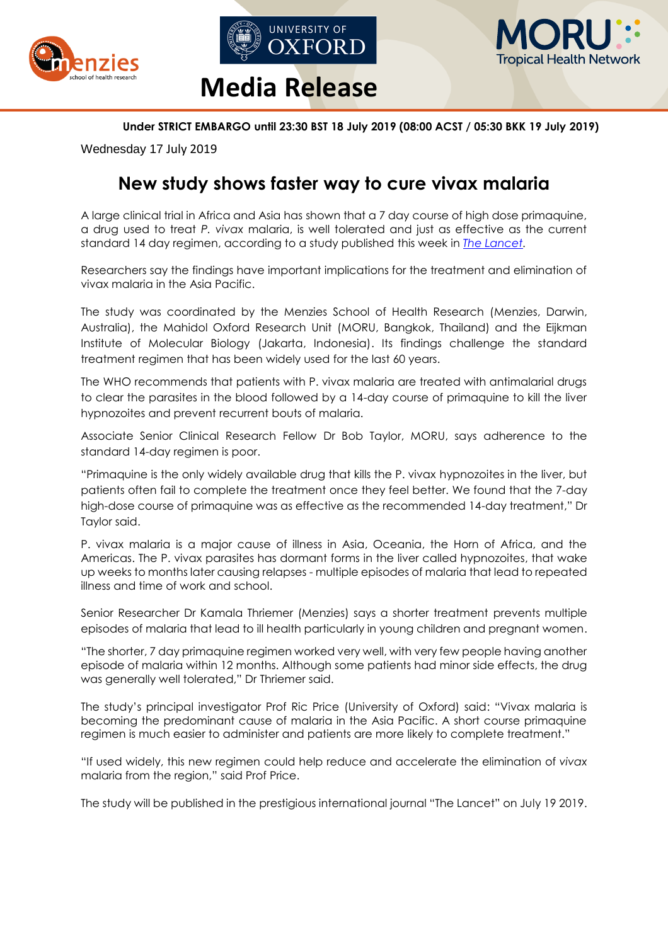





### **Under STRICT EMBARGO until 23:30 BST 18 July 2019 (08:00 ACST / 05:30 BKK 19 July 2019)**

Wednesday 17 July 2019

# **New study shows faster way to cure vivax malaria**

A large clinical trial in Africa and Asia has shown that a 7 day course of high dose primaquine, a drug used to treat *P. vivax* malaria, is well tolerated and just as effective as the current standard 14 day regimen, according to a study published this week in *[The Lancet.](http://dx.doi.org/10.1016/S0140-6736(19)31285-1)*

Researchers say the findings have important implications for the treatment and elimination of vivax malaria in the Asia Pacific.

The study was coordinated by the Menzies School of Health Research (Menzies, Darwin, Australia), the Mahidol Oxford Research Unit (MORU, Bangkok, Thailand) and the Eijkman Institute of Molecular Biology (Jakarta, Indonesia). Its findings challenge the standard treatment regimen that has been widely used for the last 60 years.

The WHO recommends that patients with P. vivax malaria are treated with antimalarial drugs to clear the parasites in the blood followed by a 14-day course of primaquine to kill the liver hypnozoites and prevent recurrent bouts of malaria.

Associate Senior Clinical Research Fellow [Dr Bob Taylor,](https://014.medsci.ox.ac.uk/team/bob-taylor) [MORU,](http://www.tropmedres.ac/home) says adherence to the standard 14-day regimen is poor.

"Primaquine is the only widely available drug that kills the P. vivax hypnozoites in the liver, but patients often fail to complete the treatment once they feel better. We found that the 7-day high-dose course of primaquine was as effective as the recommended 14-day treatment," Dr Taylor said.

P. vivax malaria is a major cause of illness in Asia, Oceania, the Horn of Africa, and the Americas. The P. vivax parasites has dormant forms in the liver called hypnozoites, that wake up weeks to months later causing relapses - multiple episodes of malaria that lead to repeated illness and time of work and school.

Senior Researcher Dr Kamala Thriemer (Menzies) says a shorter treatment prevents multiple episodes of malaria that lead to ill health particularly in young children and pregnant women.

"The shorter, 7 day primaquine regimen worked very well, with very few people having another episode of malaria within 12 months. Although some patients had minor side effects, the drug was generally well tolerated," Dr Thriemer said.

The study's principal investigator Prof Ric Price (University of Oxford) said: "Vivax malaria is becoming the predominant cause of malaria in the Asia Pacific. A short course primaquine regimen is much easier to administer and patients are more likely to complete treatment."

"If used widely, this new regimen could help reduce and accelerate the elimination of *vivax* malaria from the region," said Prof Price.

The study will be published in the prestigious international journal "The Lancet" on July 19 2019.